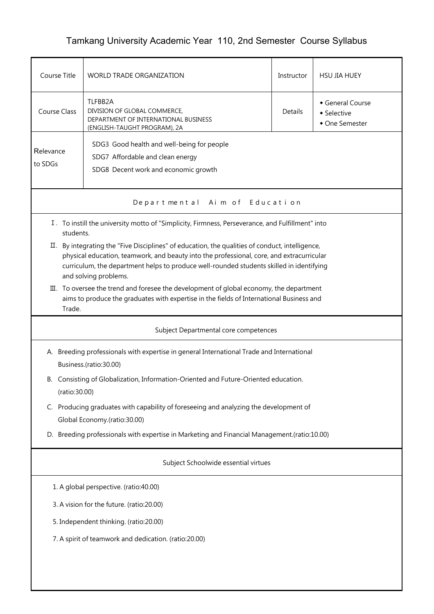## Tamkang University Academic Year 110, 2nd Semester Course Syllabus

| Course Title                                                                                                                                                                                                                                                                                                        | WORLD TRADE ORGANIZATION                                                                                               |         | <b>HSU JIA HUEY</b>                             |  |  |  |  |
|---------------------------------------------------------------------------------------------------------------------------------------------------------------------------------------------------------------------------------------------------------------------------------------------------------------------|------------------------------------------------------------------------------------------------------------------------|---------|-------------------------------------------------|--|--|--|--|
| <b>Course Class</b>                                                                                                                                                                                                                                                                                                 | TLFBB2A<br>DIVISION OF GLOBAL COMMERCE,<br>DEPARTMENT OF INTERNATIONAL BUSINESS<br>(ENGLISH-TAUGHT PROGRAM), 2A        | Details | General Course<br>• Selective<br>• One Semester |  |  |  |  |
| Relevance<br>to SDGs                                                                                                                                                                                                                                                                                                | SDG3 Good health and well-being for people<br>SDG7 Affordable and clean energy<br>SDG8 Decent work and economic growth |         |                                                 |  |  |  |  |
| Departmental Aim of Education                                                                                                                                                                                                                                                                                       |                                                                                                                        |         |                                                 |  |  |  |  |
|                                                                                                                                                                                                                                                                                                                     | I. To instill the university motto of "Simplicity, Firmness, Perseverance, and Fulfillment" into<br>students.          |         |                                                 |  |  |  |  |
| By integrating the "Five Disciplines" of education, the qualities of conduct, intelligence,<br>П.<br>physical education, teamwork, and beauty into the professional, core, and extracurricular<br>curriculum, the department helps to produce well-rounded students skilled in identifying<br>and solving problems. |                                                                                                                        |         |                                                 |  |  |  |  |
| III. To oversee the trend and foresee the development of global economy, the department<br>aims to produce the graduates with expertise in the fields of International Business and<br>Trade.                                                                                                                       |                                                                                                                        |         |                                                 |  |  |  |  |
|                                                                                                                                                                                                                                                                                                                     | Subject Departmental core competences                                                                                  |         |                                                 |  |  |  |  |
| A. Breeding professionals with expertise in general International Trade and International<br>Business.(ratio:30.00)                                                                                                                                                                                                 |                                                                                                                        |         |                                                 |  |  |  |  |
| B. Consisting of Globalization, Information-Oriented and Future-Oriented education.<br>(ratio:30.00)                                                                                                                                                                                                                |                                                                                                                        |         |                                                 |  |  |  |  |
| Producing graduates with capability of foreseeing and analyzing the development of<br>C.<br>Global Economy.(ratio:30.00)                                                                                                                                                                                            |                                                                                                                        |         |                                                 |  |  |  |  |
| D. Breeding professionals with expertise in Marketing and Financial Management.(ratio:10.00)                                                                                                                                                                                                                        |                                                                                                                        |         |                                                 |  |  |  |  |
| Subject Schoolwide essential virtues                                                                                                                                                                                                                                                                                |                                                                                                                        |         |                                                 |  |  |  |  |
| 1. A global perspective. (ratio:40.00)                                                                                                                                                                                                                                                                              |                                                                                                                        |         |                                                 |  |  |  |  |
| 3. A vision for the future. (ratio:20.00)                                                                                                                                                                                                                                                                           |                                                                                                                        |         |                                                 |  |  |  |  |
| 5. Independent thinking. (ratio:20.00)                                                                                                                                                                                                                                                                              |                                                                                                                        |         |                                                 |  |  |  |  |
| 7. A spirit of teamwork and dedication. (ratio:20.00)                                                                                                                                                                                                                                                               |                                                                                                                        |         |                                                 |  |  |  |  |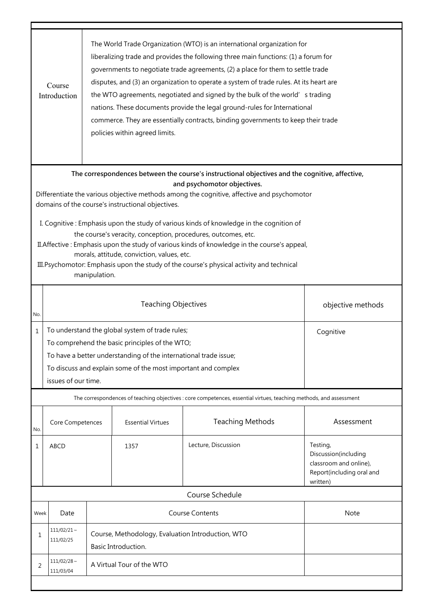|                                                                                                                                                                                                                                                                                                                                                                                                                                                                                                                                                                                                                                                                                                            | The World Trade Organization (WTO) is an international organization for<br>liberalizing trade and provides the following three main functions: (1) a forum for<br>governments to negotiate trade agreements, (2) a place for them to settle trade<br>disputes, and (3) an organization to operate a system of trade rules. At its heart are<br>Course<br>the WTO agreements, negotiated and signed by the bulk of the world' s trading<br>Introduction<br>nations. These documents provide the legal ground-rules for International<br>commerce. They are essentially contracts, binding governments to keep their trade<br>policies within agreed limits. |                                                                                                                                                                                                                                                                            |                          |                                                                                                                    |                                                                                                     |  |  |  |
|------------------------------------------------------------------------------------------------------------------------------------------------------------------------------------------------------------------------------------------------------------------------------------------------------------------------------------------------------------------------------------------------------------------------------------------------------------------------------------------------------------------------------------------------------------------------------------------------------------------------------------------------------------------------------------------------------------|------------------------------------------------------------------------------------------------------------------------------------------------------------------------------------------------------------------------------------------------------------------------------------------------------------------------------------------------------------------------------------------------------------------------------------------------------------------------------------------------------------------------------------------------------------------------------------------------------------------------------------------------------------|----------------------------------------------------------------------------------------------------------------------------------------------------------------------------------------------------------------------------------------------------------------------------|--------------------------|--------------------------------------------------------------------------------------------------------------------|-----------------------------------------------------------------------------------------------------|--|--|--|
| The correspondences between the course's instructional objectives and the cognitive, affective,<br>and psychomotor objectives.<br>Differentiate the various objective methods among the cognitive, affective and psychomotor<br>domains of the course's instructional objectives.<br>I. Cognitive: Emphasis upon the study of various kinds of knowledge in the cognition of<br>the course's veracity, conception, procedures, outcomes, etc.<br>II. Affective : Emphasis upon the study of various kinds of knowledge in the course's appeal,<br>morals, attitude, conviction, values, etc.<br>III. Psychomotor: Emphasis upon the study of the course's physical activity and technical<br>manipulation. |                                                                                                                                                                                                                                                                                                                                                                                                                                                                                                                                                                                                                                                            |                                                                                                                                                                                                                                                                            |                          |                                                                                                                    |                                                                                                     |  |  |  |
| No.                                                                                                                                                                                                                                                                                                                                                                                                                                                                                                                                                                                                                                                                                                        |                                                                                                                                                                                                                                                                                                                                                                                                                                                                                                                                                                                                                                                            | <b>Teaching Objectives</b>                                                                                                                                                                                                                                                 |                          |                                                                                                                    | objective methods                                                                                   |  |  |  |
| 1                                                                                                                                                                                                                                                                                                                                                                                                                                                                                                                                                                                                                                                                                                          |                                                                                                                                                                                                                                                                                                                                                                                                                                                                                                                                                                                                                                                            | To understand the global system of trade rules;<br>Cognitive<br>To comprehend the basic principles of the WTO;<br>To have a better understanding of the international trade issue;<br>To discuss and explain some of the most important and complex<br>issues of our time. |                          |                                                                                                                    |                                                                                                     |  |  |  |
|                                                                                                                                                                                                                                                                                                                                                                                                                                                                                                                                                                                                                                                                                                            |                                                                                                                                                                                                                                                                                                                                                                                                                                                                                                                                                                                                                                                            |                                                                                                                                                                                                                                                                            |                          | The correspondences of teaching objectives : core competences, essential virtues, teaching methods, and assessment |                                                                                                     |  |  |  |
| No.                                                                                                                                                                                                                                                                                                                                                                                                                                                                                                                                                                                                                                                                                                        | Core Competences                                                                                                                                                                                                                                                                                                                                                                                                                                                                                                                                                                                                                                           |                                                                                                                                                                                                                                                                            | <b>Essential Virtues</b> | <b>Teaching Methods</b>                                                                                            | Assessment                                                                                          |  |  |  |
| 1                                                                                                                                                                                                                                                                                                                                                                                                                                                                                                                                                                                                                                                                                                          | <b>ABCD</b>                                                                                                                                                                                                                                                                                                                                                                                                                                                                                                                                                                                                                                                |                                                                                                                                                                                                                                                                            | 1357                     | Lecture, Discussion                                                                                                | Testing,<br>Discussion(including<br>classroom and online),<br>Report(including oral and<br>written) |  |  |  |
|                                                                                                                                                                                                                                                                                                                                                                                                                                                                                                                                                                                                                                                                                                            |                                                                                                                                                                                                                                                                                                                                                                                                                                                                                                                                                                                                                                                            |                                                                                                                                                                                                                                                                            |                          | Course Schedule                                                                                                    |                                                                                                     |  |  |  |
|                                                                                                                                                                                                                                                                                                                                                                                                                                                                                                                                                                                                                                                                                                            | <b>Course Contents</b><br>Date<br>Week                                                                                                                                                                                                                                                                                                                                                                                                                                                                                                                                                                                                                     |                                                                                                                                                                                                                                                                            | Note                     |                                                                                                                    |                                                                                                     |  |  |  |
| 1                                                                                                                                                                                                                                                                                                                                                                                                                                                                                                                                                                                                                                                                                                          | $111/02/21 \sim$<br>111/02/25                                                                                                                                                                                                                                                                                                                                                                                                                                                                                                                                                                                                                              | Course, Methodology, Evaluation Introduction, WTO<br>Basic Introduction.                                                                                                                                                                                                   |                          |                                                                                                                    |                                                                                                     |  |  |  |
| 2                                                                                                                                                                                                                                                                                                                                                                                                                                                                                                                                                                                                                                                                                                          | $111/02/28$ ~<br>A Virtual Tour of the WTO<br>111/03/04                                                                                                                                                                                                                                                                                                                                                                                                                                                                                                                                                                                                    |                                                                                                                                                                                                                                                                            |                          |                                                                                                                    |                                                                                                     |  |  |  |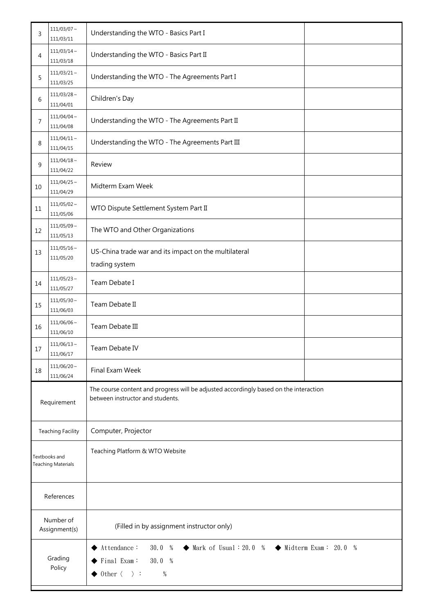| 3                                          | $111/03/07 \sim$<br>111/03/11 | Understanding the WTO - Basics Part I                                                                                                                                                                       |  |  |
|--------------------------------------------|-------------------------------|-------------------------------------------------------------------------------------------------------------------------------------------------------------------------------------------------------------|--|--|
| 4                                          | $111/03/14$ ~<br>111/03/18    | Understanding the WTO - Basics Part II                                                                                                                                                                      |  |  |
| 5                                          | $111/03/21$ ~<br>111/03/25    | Understanding the WTO - The Agreements Part I                                                                                                                                                               |  |  |
| 6                                          | $111/03/28$ ~<br>111/04/01    | Children's Day                                                                                                                                                                                              |  |  |
| 7                                          | $111/04/04 \sim$<br>111/04/08 | Understanding the WTO - The Agreements Part II                                                                                                                                                              |  |  |
| 8                                          | $111/04/11$ ~<br>111/04/15    | Understanding the WTO - The Agreements Part III                                                                                                                                                             |  |  |
| 9                                          | $111/04/18$ ~<br>111/04/22    | Review                                                                                                                                                                                                      |  |  |
| 10                                         | $111/04/25$ ~<br>111/04/29    | Midterm Exam Week                                                                                                                                                                                           |  |  |
| 11                                         | $111/05/02$ ~<br>111/05/06    | WTO Dispute Settlement System Part II                                                                                                                                                                       |  |  |
| 12                                         | $111/05/09$ ~<br>111/05/13    | The WTO and Other Organizations                                                                                                                                                                             |  |  |
| 13                                         | $111/05/16$ ~<br>111/05/20    | US-China trade war and its impact on the multilateral<br>trading system                                                                                                                                     |  |  |
| 14                                         | $111/05/23$ ~<br>111/05/27    | Team Debate I                                                                                                                                                                                               |  |  |
| 15                                         | $111/05/30 \sim$<br>111/06/03 | Team Debate II                                                                                                                                                                                              |  |  |
| 16                                         | $111/06/06$ ~<br>111/06/10    | Team Debate III                                                                                                                                                                                             |  |  |
| 17                                         | $111/06/13$ ~<br>111/06/17    | Team Debate IV                                                                                                                                                                                              |  |  |
| 18                                         | $111/06/20 \sim$<br>111/06/24 | Final Exam Week                                                                                                                                                                                             |  |  |
| Requirement                                |                               | The course content and progress will be adjusted accordingly based on the interaction<br>between instructor and students.                                                                                   |  |  |
|                                            | <b>Teaching Facility</b>      | Computer, Projector                                                                                                                                                                                         |  |  |
| Textbooks and<br><b>Teaching Materials</b> |                               | Teaching Platform & WTO Website                                                                                                                                                                             |  |  |
| References                                 |                               |                                                                                                                                                                                                             |  |  |
| Number of<br>Assignment(s)                 |                               | (Filled in by assignment instructor only)                                                                                                                                                                   |  |  |
| Grading<br>Policy                          |                               | Attendance:<br>30.0 %<br>$\blacklozenge$ Midterm Exam: 20.0 %<br>$\blacklozenge$ Mark of Usual : 20.0 %<br>$\blacktriangleright$ Final Exam:<br>30.0 %<br>$\blacklozenge$ 0ther $\langle \rangle$ :<br>$\%$ |  |  |